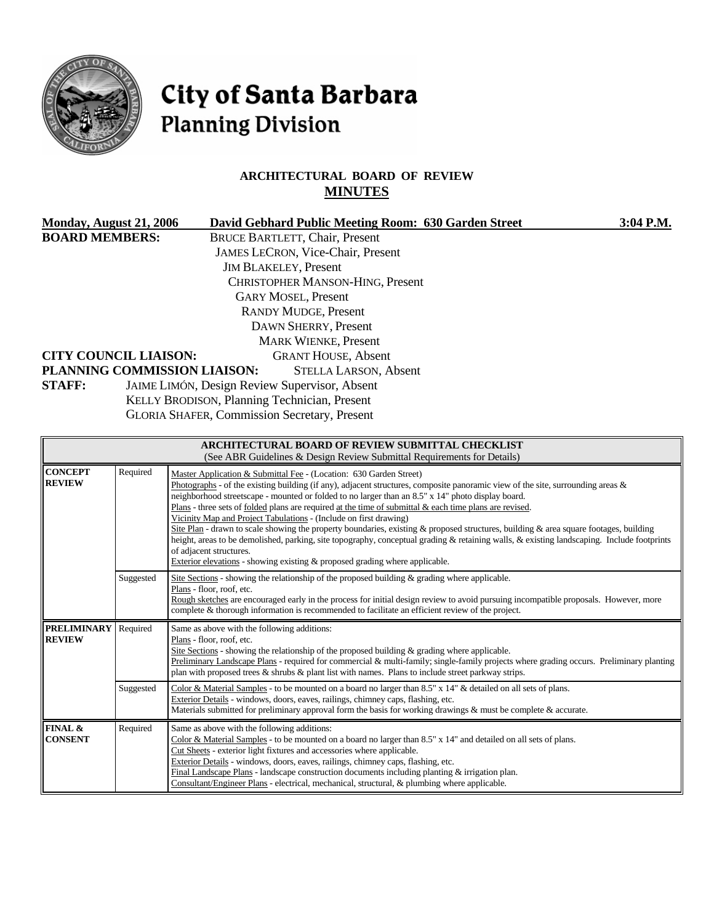

# City of Santa Barbara **Planning Division**

# **ARCHITECTURAL BOARD OF REVIEW MINUTES**

| Monday, August 21, 2006<br><b>BOARD MEMBERS:</b><br><b>CITY COUNCIL LIAISON:</b><br>PLANNING COMMISSION LIAISON:<br><b>STAFF:</b> |           | David Gebhard Public Meeting Room: 630 Garden Street                                                                                                                                                                                                                                                                                                                                                                                                                                                                                                                                                                                                                                                                                                                                                                                                                                              | 3:04 P.M. |
|-----------------------------------------------------------------------------------------------------------------------------------|-----------|---------------------------------------------------------------------------------------------------------------------------------------------------------------------------------------------------------------------------------------------------------------------------------------------------------------------------------------------------------------------------------------------------------------------------------------------------------------------------------------------------------------------------------------------------------------------------------------------------------------------------------------------------------------------------------------------------------------------------------------------------------------------------------------------------------------------------------------------------------------------------------------------------|-----------|
|                                                                                                                                   |           | <b>BRUCE BARTLETT, Chair, Present</b><br>JAMES LECRON, Vice-Chair, Present<br><b>JIM BLAKELEY, Present</b><br><b>CHRISTOPHER MANSON-HING, Present</b><br><b>GARY MOSEL, Present</b><br><b>RANDY MUDGE, Present</b><br>DAWN SHERRY, Present<br><b>MARK WIENKE, Present</b><br><b>GRANT HOUSE, Absent</b><br><b>STELLA LARSON, Absent</b><br>JAIME LIMÓN, Design Review Supervisor, Absent<br>KELLY BRODISON, Planning Technician, Present<br><b>GLORIA SHAFER, Commission Secretary, Present</b>                                                                                                                                                                                                                                                                                                                                                                                                   |           |
|                                                                                                                                   |           | <b>ARCHITECTURAL BOARD OF REVIEW SUBMITTAL CHECKLIST</b><br>(See ABR Guidelines & Design Review Submittal Requirements for Details)                                                                                                                                                                                                                                                                                                                                                                                                                                                                                                                                                                                                                                                                                                                                                               |           |
| <b>CONCEPT</b><br>REVIEW                                                                                                          | Required  | Master Application & Submittal Fee - (Location: 630 Garden Street)<br>Photographs - of the existing building (if any), adjacent structures, composite panoramic view of the site, surrounding areas $\&$<br>neighborhood streetscape - mounted or folded to no larger than an 8.5" x 14" photo display board.<br>Plans - three sets of folded plans are required at the time of submittal $\&$ each time plans are revised.<br>Vicinity Map and Project Tabulations - (Include on first drawing)<br>Site Plan - drawn to scale showing the property boundaries, existing & proposed structures, building & area square footages, building<br>height, areas to be demolished, parking, site topography, conceptual grading & retaining walls, & existing landscaping. Include footprints<br>of adjacent structures.<br>Exterior elevations - showing existing & proposed grading where applicable. |           |
|                                                                                                                                   | Suggested | Site Sections - showing the relationship of the proposed building $\&$ grading where applicable.<br>Plans - floor, roof, etc.<br>Rough sketches are encouraged early in the process for initial design review to avoid pursuing incompatible proposals. However, more<br>complete & thorough information is recommended to facilitate an efficient review of the project.                                                                                                                                                                                                                                                                                                                                                                                                                                                                                                                         |           |
| <b>PRELIMINARY</b><br><b>REVIEW</b>                                                                                               | Required  | Same as above with the following additions:<br>Plans - floor, roof, etc.<br>Site Sections - showing the relationship of the proposed building $\&$ grading where applicable.<br>Preliminary Landscape Plans - required for commercial & multi-family; single-family projects where grading occurs. Preliminary planting<br>plan with proposed trees & shrubs & plant list with names. Plans to include street parkway strips.                                                                                                                                                                                                                                                                                                                                                                                                                                                                     |           |
|                                                                                                                                   | Suggested | Color & Material Samples - to be mounted on a board no larger than $8.5"$ x $14"$ & detailed on all sets of plans.<br>Exterior Details - windows, doors, eaves, railings, chimney caps, flashing, etc.<br>Materials submitted for preliminary approval form the basis for working drawings $\&$ must be complete $\&$ accurate.                                                                                                                                                                                                                                                                                                                                                                                                                                                                                                                                                                   |           |
| FINAL &<br><b>CONSENT</b>                                                                                                         | Required  | Same as above with the following additions:<br>Color & Material Samples - to be mounted on a board no larger than 8.5" x 14" and detailed on all sets of plans.<br>Cut Sheets - exterior light fixtures and accessories where applicable.<br>Exterior Details - windows, doors, eaves, railings, chimney caps, flashing, etc.<br>Final Landscape Plans - landscape construction documents including planting $&$ irrigation plan.<br>Consultant/Engineer Plans - electrical, mechanical, structural, & plumbing where applicable.                                                                                                                                                                                                                                                                                                                                                                 |           |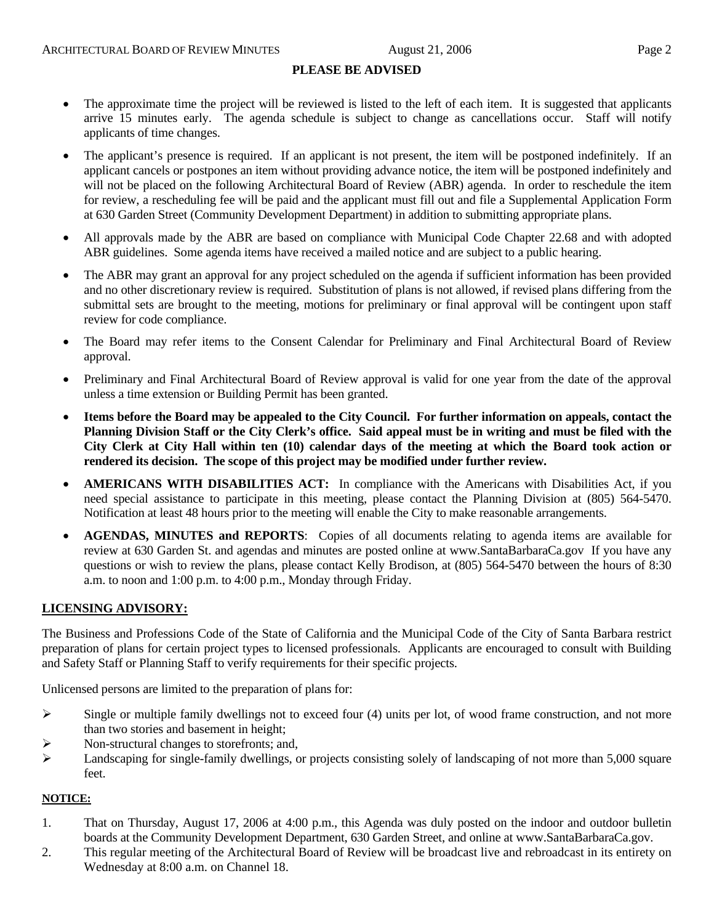## **PLEASE BE ADVISED**

- The approximate time the project will be reviewed is listed to the left of each item. It is suggested that applicants arrive 15 minutes early. The agenda schedule is subject to change as cancellations occur. Staff will notify applicants of time changes.
- The applicant's presence is required. If an applicant is not present, the item will be postponed indefinitely. If an applicant cancels or postpones an item without providing advance notice, the item will be postponed indefinitely and will not be placed on the following Architectural Board of Review (ABR) agenda. In order to reschedule the item for review, a rescheduling fee will be paid and the applicant must fill out and file a Supplemental Application Form at 630 Garden Street (Community Development Department) in addition to submitting appropriate plans.
- All approvals made by the ABR are based on compliance with Municipal Code Chapter 22.68 and with adopted ABR guidelines. Some agenda items have received a mailed notice and are subject to a public hearing.
- The ABR may grant an approval for any project scheduled on the agenda if sufficient information has been provided and no other discretionary review is required. Substitution of plans is not allowed, if revised plans differing from the submittal sets are brought to the meeting, motions for preliminary or final approval will be contingent upon staff review for code compliance.
- The Board may refer items to the Consent Calendar for Preliminary and Final Architectural Board of Review approval.
- Preliminary and Final Architectural Board of Review approval is valid for one year from the date of the approval unless a time extension or Building Permit has been granted.
- **Items before the Board may be appealed to the City Council. For further information on appeals, contact the Planning Division Staff or the City Clerk's office. Said appeal must be in writing and must be filed with the City Clerk at City Hall within ten (10) calendar days of the meeting at which the Board took action or rendered its decision. The scope of this project may be modified under further review.**
- **AMERICANS WITH DISABILITIES ACT:** In compliance with the Americans with Disabilities Act, if you need special assistance to participate in this meeting, please contact the Planning Division at (805) 564-5470. Notification at least 48 hours prior to the meeting will enable the City to make reasonable arrangements.
- **AGENDAS, MINUTES and REPORTS**: Copies of all documents relating to agenda items are available for review at 630 Garden St. and agendas and minutes are posted online at [www.SantaBarbaraCa.gov](http://www.santabarbaraca.gov/) If you have any questions or wish to review the plans, please contact Kelly Brodison, at (805) 564-5470 between the hours of 8:30 a.m. to noon and 1:00 p.m. to 4:00 p.m., Monday through Friday.

#### **LICENSING ADVISORY:**

The Business and Professions Code of the State of California and the Municipal Code of the City of Santa Barbara restrict preparation of plans for certain project types to licensed professionals. Applicants are encouraged to consult with Building and Safety Staff or Planning Staff to verify requirements for their specific projects.

Unlicensed persons are limited to the preparation of plans for:

- $\triangleright$  Single or multiple family dwellings not to exceed four (4) units per lot, of wood frame construction, and not more than two stories and basement in height;
- ¾ Non-structural changes to storefronts; and,
- $\blacktriangleright$  Landscaping for single-family dwellings, or projects consisting solely of landscaping of not more than 5,000 square feet.

#### **NOTICE:**

- 1. That on Thursday, August 17, 2006 at 4:00 p.m., this Agenda was duly posted on the indoor and outdoor bulletin boards at the Community Development Department, 630 Garden Street, and online at www.SantaBarbaraCa.gov.
- 2. This regular meeting of the Architectural Board of Review will be broadcast live and rebroadcast in its entirety on Wednesday at 8:00 a.m. on Channel 18.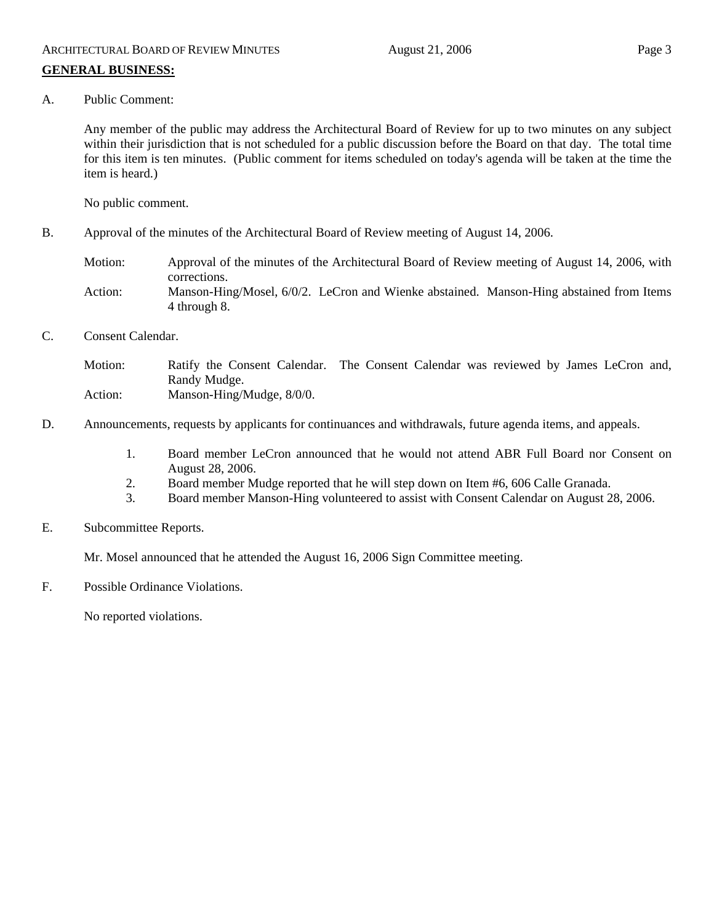A. Public Comment:

Any member of the public may address the Architectural Board of Review for up to two minutes on any subject within their jurisdiction that is not scheduled for a public discussion before the Board on that day. The total time for this item is ten minutes. (Public comment for items scheduled on today's agenda will be taken at the time the item is heard.)

No public comment.

- B. Approval of the minutes of the Architectural Board of Review meeting of August 14, 2006.
	- Motion: Approval of the minutes of the Architectural Board of Review meeting of August 14, 2006, with corrections. Action: Manson-Hing/Mosel, 6/0/2. LeCron and Wienke abstained. Manson-Hing abstained from Items 4 through 8.
- C. Consent Calendar.
	- Motion: Ratify the Consent Calendar. The Consent Calendar was reviewed by James LeCron and, Randy Mudge. Action: Manson-Hing/Mudge,  $8/0/0$ .
- D. Announcements, requests by applicants for continuances and withdrawals, future agenda items, and appeals.
	- 1. Board member LeCron announced that he would not attend ABR Full Board nor Consent on August 28, 2006.
	- 2. Board member Mudge reported that he will step down on Item #6, 606 Calle Granada.
	- 3. Board member Manson-Hing volunteered to assist with Consent Calendar on August 28, 2006.
- E. Subcommittee Reports.

Mr. Mosel announced that he attended the August 16, 2006 Sign Committee meeting.

F. Possible Ordinance Violations.

No reported violations.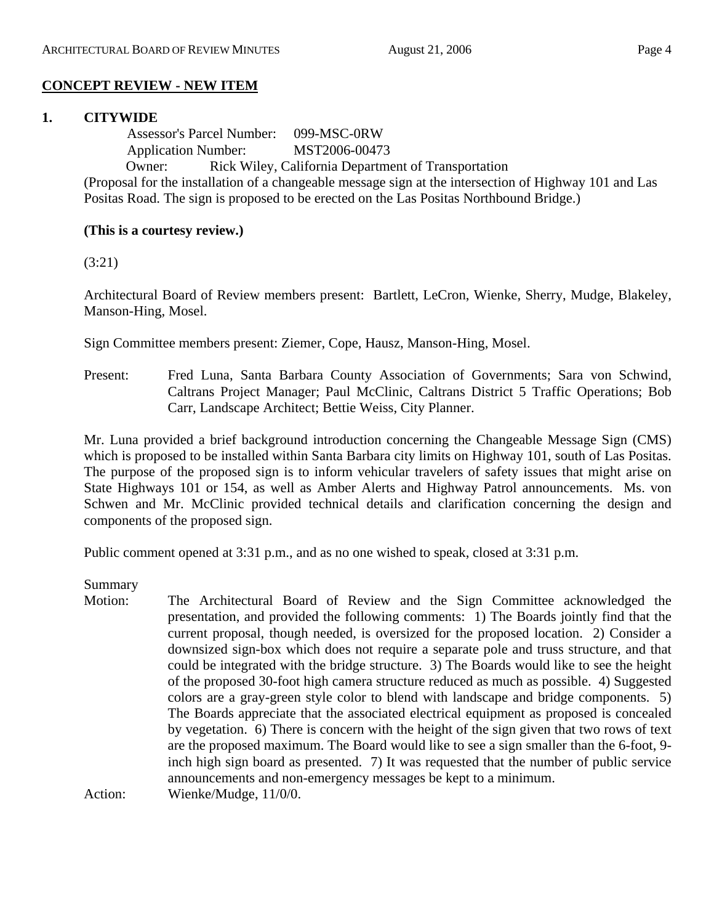# **CONCEPT REVIEW - NEW ITEM**

## **1. CITYWIDE**

 Assessor's Parcel Number: 099-MSC-0RW Application Number: MST2006-00473 Owner: Rick Wiley, California Department of Transportation (Proposal for the installation of a changeable message sign at the intersection of Highway 101 and Las Positas Road. The sign is proposed to be erected on the Las Positas Northbound Bridge.)

## **(This is a courtesy review.)**

(3:21)

Architectural Board of Review members present: Bartlett, LeCron, Wienke, Sherry, Mudge, Blakeley, Manson-Hing, Mosel.

Sign Committee members present: Ziemer, Cope, Hausz, Manson-Hing, Mosel.

Present: Fred Luna, Santa Barbara County Association of Governments; Sara von Schwind, Caltrans Project Manager; Paul McClinic, Caltrans District 5 Traffic Operations; Bob Carr, Landscape Architect; Bettie Weiss, City Planner.

Mr. Luna provided a brief background introduction concerning the Changeable Message Sign (CMS) which is proposed to be installed within Santa Barbara city limits on Highway 101, south of Las Positas. The purpose of the proposed sign is to inform vehicular travelers of safety issues that might arise on State Highways 101 or 154, as well as Amber Alerts and Highway Patrol announcements. Ms. von Schwen and Mr. McClinic provided technical details and clarification concerning the design and components of the proposed sign.

Public comment opened at 3:31 p.m., and as no one wished to speak, closed at 3:31 p.m.

Summary

Motion: The Architectural Board of Review and the Sign Committee acknowledged the presentation, and provided the following comments: 1) The Boards jointly find that the current proposal, though needed, is oversized for the proposed location. 2) Consider a downsized sign-box which does not require a separate pole and truss structure, and that could be integrated with the bridge structure. 3) The Boards would like to see the height of the proposed 30-foot high camera structure reduced as much as possible. 4) Suggested colors are a gray-green style color to blend with landscape and bridge components. 5) The Boards appreciate that the associated electrical equipment as proposed is concealed by vegetation. 6) There is concern with the height of the sign given that two rows of text are the proposed maximum. The Board would like to see a sign smaller than the 6-foot, 9 inch high sign board as presented. 7) It was requested that the number of public service announcements and non-emergency messages be kept to a minimum. Action: Wienke/Mudge, 11/0/0.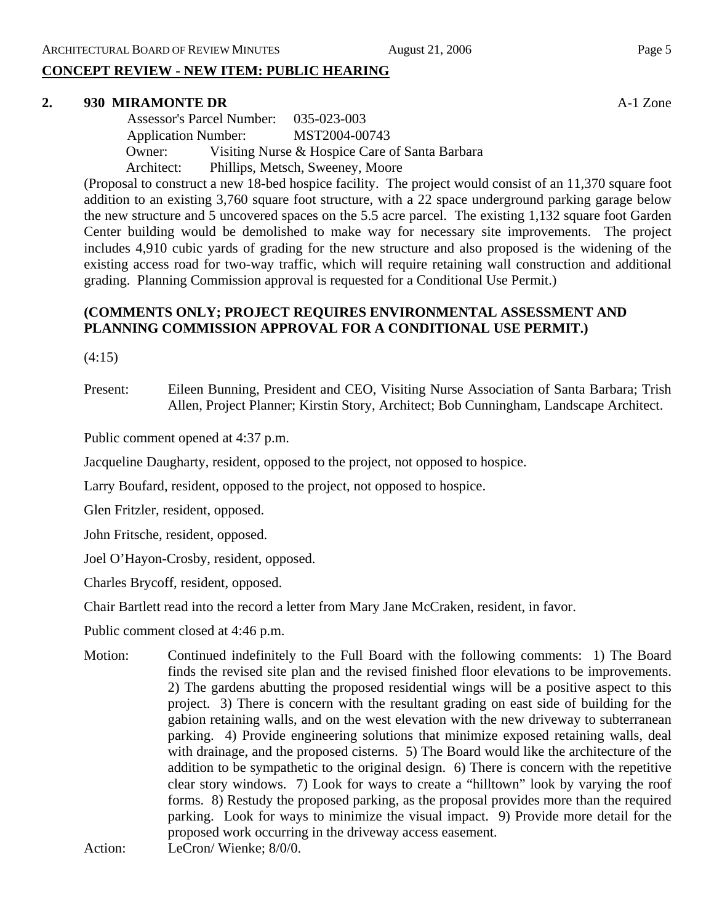# **CONCEPT REVIEW - NEW ITEM: PUBLIC HEARING**

#### **2. 930 MIRAMONTE DR** A-1 Zone

 Assessor's Parcel Number: 035-023-003 Application Number: MST2004-00743 Owner: Visiting Nurse & Hospice Care of Santa Barbara Architect: Phillips, Metsch, Sweeney, Moore

(Proposal to construct a new 18-bed hospice facility. The project would consist of an 11,370 square foot addition to an existing 3,760 square foot structure, with a 22 space underground parking garage below the new structure and 5 uncovered spaces on the 5.5 acre parcel. The existing 1,132 square foot Garden Center building would be demolished to make way for necessary site improvements. The project includes 4,910 cubic yards of grading for the new structure and also proposed is the widening of the existing access road for two-way traffic, which will require retaining wall construction and additional grading. Planning Commission approval is requested for a Conditional Use Permit.)

# **(COMMENTS ONLY; PROJECT REQUIRES ENVIRONMENTAL ASSESSMENT AND PLANNING COMMISSION APPROVAL FOR A CONDITIONAL USE PERMIT.)**

(4:15)

Present: Eileen Bunning, President and CEO, Visiting Nurse Association of Santa Barbara; Trish Allen, Project Planner; Kirstin Story, Architect; Bob Cunningham, Landscape Architect.

Public comment opened at 4:37 p.m.

Jacqueline Daugharty, resident, opposed to the project, not opposed to hospice.

Larry Boufard, resident, opposed to the project, not opposed to hospice.

Glen Fritzler, resident, opposed.

John Fritsche, resident, opposed.

Joel O'Hayon-Crosby, resident, opposed.

Charles Brycoff, resident, opposed.

Chair Bartlett read into the record a letter from Mary Jane McCraken, resident, in favor.

Public comment closed at 4:46 p.m.

Motion: Continued indefinitely to the Full Board with the following comments: 1) The Board finds the revised site plan and the revised finished floor elevations to be improvements. 2) The gardens abutting the proposed residential wings will be a positive aspect to this project. 3) There is concern with the resultant grading on east side of building for the gabion retaining walls, and on the west elevation with the new driveway to subterranean parking. 4) Provide engineering solutions that minimize exposed retaining walls, deal with drainage, and the proposed cisterns. 5) The Board would like the architecture of the addition to be sympathetic to the original design. 6) There is concern with the repetitive clear story windows. 7) Look for ways to create a "hilltown" look by varying the roof forms. 8) Restudy the proposed parking, as the proposal provides more than the required parking. Look for ways to minimize the visual impact. 9) Provide more detail for the proposed work occurring in the driveway access easement.

Action: LeCron/Wienke;  $8/0/0$ .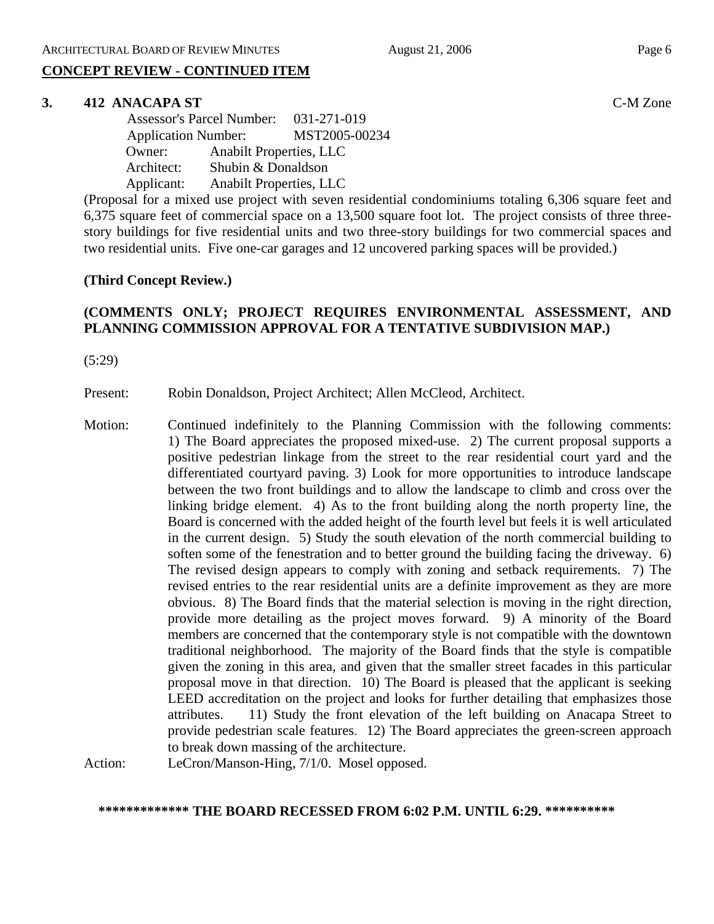# **CONCEPT REVIEW - CONTINUED ITEM**

#### **3. 412 ANACAPA ST** C-M Zone

 Assessor's Parcel Number: 031-271-019 Application Number: MST2005-00234 Owner: Anabilt Properties, LLC Architect: Shubin & Donaldson Applicant: Anabilt Properties, LLC

(Proposal for a mixed use project with seven residential condominiums totaling 6,306 square feet and 6,375 square feet of commercial space on a 13,500 square foot lot. The project consists of three threestory buildings for five residential units and two three-story buildings for two commercial spaces and two residential units. Five one-car garages and 12 uncovered parking spaces will be provided.)

## **(Third Concept Review.)**

# **(COMMENTS ONLY; PROJECT REQUIRES ENVIRONMENTAL ASSESSMENT, AND PLANNING COMMISSION APPROVAL FOR A TENTATIVE SUBDIVISION MAP.)**

(5:29)

Present: Robin Donaldson, Project Architect; Allen McCleod, Architect.

Motion: Continued indefinitely to the Planning Commission with the following comments: 1) The Board appreciates the proposed mixed-use. 2) The current proposal supports a positive pedestrian linkage from the street to the rear residential court yard and the differentiated courtyard paving. 3) Look for more opportunities to introduce landscape between the two front buildings and to allow the landscape to climb and cross over the linking bridge element. 4) As to the front building along the north property line, the Board is concerned with the added height of the fourth level but feels it is well articulated in the current design. 5) Study the south elevation of the north commercial building to soften some of the fenestration and to better ground the building facing the driveway. 6) The revised design appears to comply with zoning and setback requirements. 7) The revised entries to the rear residential units are a definite improvement as they are more obvious. 8) The Board finds that the material selection is moving in the right direction, provide more detailing as the project moves forward. 9) A minority of the Board members are concerned that the contemporary style is not compatible with the downtown traditional neighborhood. The majority of the Board finds that the style is compatible given the zoning in this area, and given that the smaller street facades in this particular proposal move in that direction. 10) The Board is pleased that the applicant is seeking LEED accreditation on the project and looks for further detailing that emphasizes those attributes. 11) Study the front elevation of the left building on Anacapa Street to provide pedestrian scale features. 12) The Board appreciates the green-screen approach to break down massing of the architecture.

Action: LeCron/Manson-Hing, 7/1/0. Mosel opposed.

#### **\*\*\*\*\*\*\*\*\*\*\*\*\* THE BOARD RECESSED FROM 6:02 P.M. UNTIL 6:29. \*\*\*\*\*\*\*\*\*\***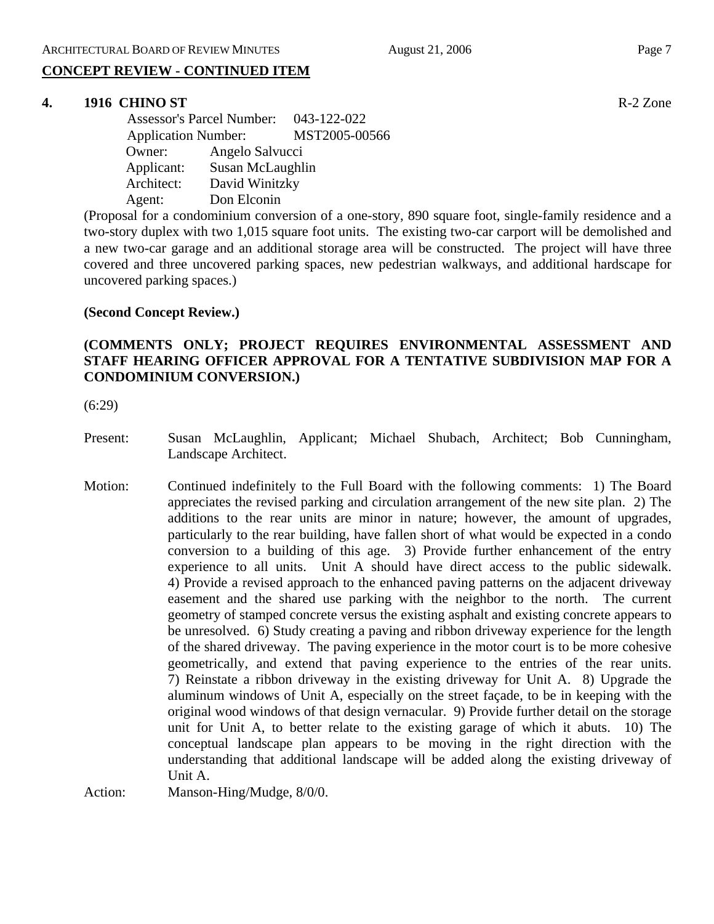# **CONCEPT REVIEW - CONTINUED ITEM**

## **4. 1916 CHINO ST** R-2 Zone

 Assessor's Parcel Number: 043-122-022 Application Number: MST2005-00566 Owner: Angelo Salvucci Applicant: Susan McLaughlin Architect: David Winitzky Agent: Don Elconin

(Proposal for a condominium conversion of a one-story, 890 square foot, single-family residence and a two-story duplex with two 1,015 square foot units. The existing two-car carport will be demolished and a new two-car garage and an additional storage area will be constructed. The project will have three covered and three uncovered parking spaces, new pedestrian walkways, and additional hardscape for uncovered parking spaces.)

## **(Second Concept Review.)**

# **(COMMENTS ONLY; PROJECT REQUIRES ENVIRONMENTAL ASSESSMENT AND STAFF HEARING OFFICER APPROVAL FOR A TENTATIVE SUBDIVISION MAP FOR A CONDOMINIUM CONVERSION.)**

(6:29)

- Present: Susan McLaughlin, Applicant; Michael Shubach, Architect; Bob Cunningham, Landscape Architect.
- Motion: Continued indefinitely to the Full Board with the following comments: 1) The Board appreciates the revised parking and circulation arrangement of the new site plan. 2) The additions to the rear units are minor in nature; however, the amount of upgrades, particularly to the rear building, have fallen short of what would be expected in a condo conversion to a building of this age. 3) Provide further enhancement of the entry experience to all units. Unit A should have direct access to the public sidewalk. 4) Provide a revised approach to the enhanced paving patterns on the adjacent driveway easement and the shared use parking with the neighbor to the north. The current geometry of stamped concrete versus the existing asphalt and existing concrete appears to be unresolved. 6) Study creating a paving and ribbon driveway experience for the length of the shared driveway. The paving experience in the motor court is to be more cohesive geometrically, and extend that paving experience to the entries of the rear units. 7) Reinstate a ribbon driveway in the existing driveway for Unit A. 8) Upgrade the aluminum windows of Unit A, especially on the street façade, to be in keeping with the original wood windows of that design vernacular. 9) Provide further detail on the storage unit for Unit A, to better relate to the existing garage of which it abuts. 10) The conceptual landscape plan appears to be moving in the right direction with the understanding that additional landscape will be added along the existing driveway of Unit A.

Action: Manson-Hing/Mudge,  $8/0/0$ .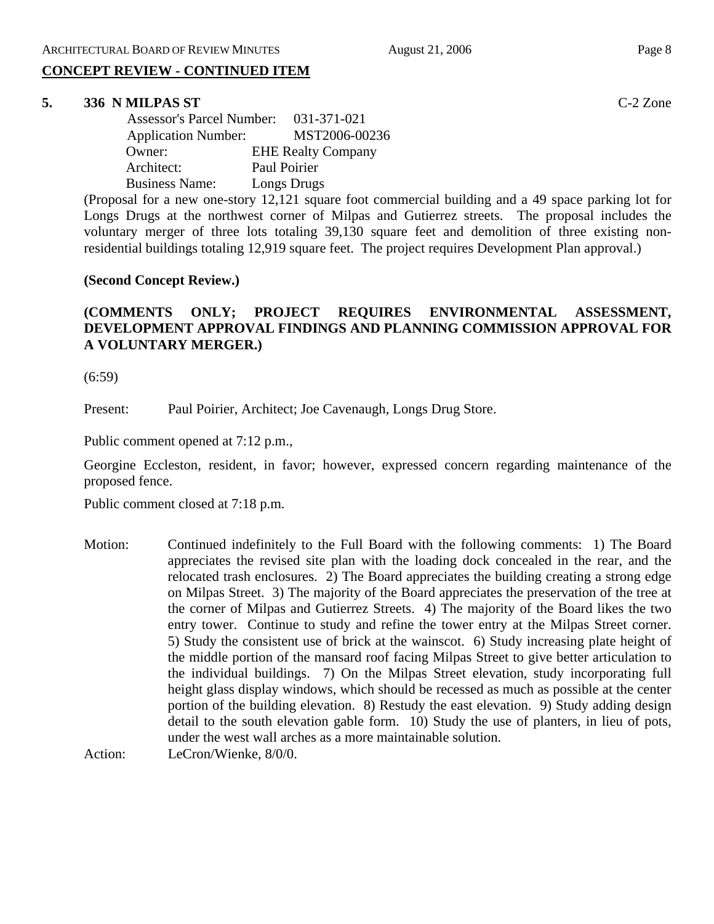# **CONCEPT REVIEW - CONTINUED ITEM**

#### **5. 336 N MILPAS ST** C-2 Zone

| <b>Assessor's Parcel Number:</b> | 031-371-021               |
|----------------------------------|---------------------------|
| <b>Application Number:</b>       | MST2006-00236             |
| Owner:                           | <b>EHE Realty Company</b> |
| Architect:                       | Paul Poirier              |
| <b>Business Name:</b>            | Longs Drugs               |

(Proposal for a new one-story 12,121 square foot commercial building and a 49 space parking lot for Longs Drugs at the northwest corner of Milpas and Gutierrez streets. The proposal includes the voluntary merger of three lots totaling 39,130 square feet and demolition of three existing nonresidential buildings totaling 12,919 square feet. The project requires Development Plan approval.)

### **(Second Concept Review.)**

# **(COMMENTS ONLY; PROJECT REQUIRES ENVIRONMENTAL ASSESSMENT, DEVELOPMENT APPROVAL FINDINGS AND PLANNING COMMISSION APPROVAL FOR A VOLUNTARY MERGER.)**

(6:59)

Present: Paul Poirier, Architect; Joe Cavenaugh, Longs Drug Store.

Public comment opened at 7:12 p.m.,

Georgine Eccleston, resident, in favor; however, expressed concern regarding maintenance of the proposed fence.

Public comment closed at 7:18 p.m.

Motion: Continued indefinitely to the Full Board with the following comments: 1) The Board appreciates the revised site plan with the loading dock concealed in the rear, and the relocated trash enclosures. 2) The Board appreciates the building creating a strong edge on Milpas Street. 3) The majority of the Board appreciates the preservation of the tree at the corner of Milpas and Gutierrez Streets. 4) The majority of the Board likes the two entry tower. Continue to study and refine the tower entry at the Milpas Street corner. 5) Study the consistent use of brick at the wainscot. 6) Study increasing plate height of the middle portion of the mansard roof facing Milpas Street to give better articulation to the individual buildings. 7) On the Milpas Street elevation, study incorporating full height glass display windows, which should be recessed as much as possible at the center portion of the building elevation. 8) Restudy the east elevation. 9) Study adding design detail to the south elevation gable form. 10) Study the use of planters, in lieu of pots, under the west wall arches as a more maintainable solution.

Action: LeCron/Wienke, 8/0/0.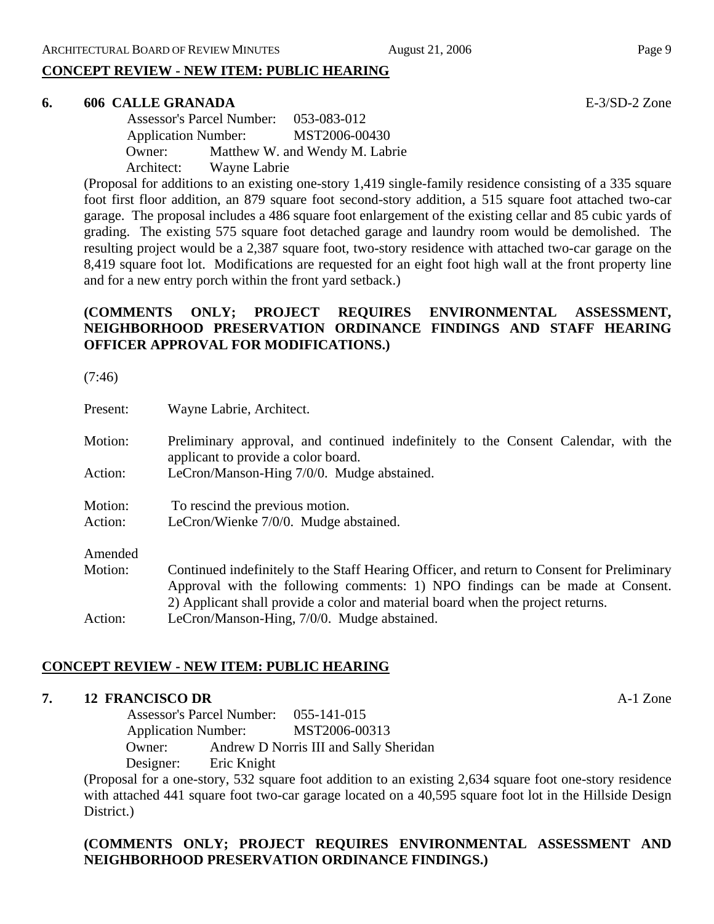# **CONCEPT REVIEW - NEW ITEM: PUBLIC HEARING**

## **6. 606 CALLE GRANADA** E-3/SD-2 Zone

 Assessor's Parcel Number: 053-083-012 Application Number: MST2006-00430 Owner: Matthew W. and Wendy M. Labrie Architect: Wayne Labrie

(Proposal for additions to an existing one-story 1,419 single-family residence consisting of a 335 square foot first floor addition, an 879 square foot second-story addition, a 515 square foot attached two-car garage. The proposal includes a 486 square foot enlargement of the existing cellar and 85 cubic yards of grading. The existing 575 square foot detached garage and laundry room would be demolished. The resulting project would be a 2,387 square foot, two-story residence with attached two-car garage on the 8,419 square foot lot. Modifications are requested for an eight foot high wall at the front property line and for a new entry porch within the front yard setback.)

# **(COMMENTS ONLY; PROJECT REQUIRES ENVIRONMENTAL ASSESSMENT, NEIGHBORHOOD PRESERVATION ORDINANCE FINDINGS AND STAFF HEARING OFFICER APPROVAL FOR MODIFICATIONS.)**

(7:46)

| Present: | Wayne Labrie, Architect.                                                                                                                                                                                                                                       |  |  |
|----------|----------------------------------------------------------------------------------------------------------------------------------------------------------------------------------------------------------------------------------------------------------------|--|--|
| Motion:  | Preliminary approval, and continued indefinitely to the Consent Calendar, with the<br>applicant to provide a color board.                                                                                                                                      |  |  |
| Action:  | LeCron/Manson-Hing 7/0/0. Mudge abstained.                                                                                                                                                                                                                     |  |  |
| Motion:  | To rescind the previous motion.                                                                                                                                                                                                                                |  |  |
| Action:  | LeCron/Wienke 7/0/0. Mudge abstained.                                                                                                                                                                                                                          |  |  |
| Amended  |                                                                                                                                                                                                                                                                |  |  |
| Motion:  | Continued indefinitely to the Staff Hearing Officer, and return to Consent for Preliminary<br>Approval with the following comments: 1) NPO findings can be made at Consent.<br>2) Applicant shall provide a color and material board when the project returns. |  |  |
| Action:  | LeCron/Manson-Hing, 7/0/0. Mudge abstained.                                                                                                                                                                                                                    |  |  |

# **CONCEPT REVIEW - NEW ITEM: PUBLIC HEARING**

## **7. 12 FRANCISCO DR** A-1 Zone

 Assessor's Parcel Number: 055-141-015 Application Number: MST2006-00313 Owner: Andrew D Norris III and Sally Sheridan Designer: Eric Knight

(Proposal for a one-story, 532 square foot addition to an existing 2,634 square foot one-story residence with attached 441 square foot two-car garage located on a 40,595 square foot lot in the Hillside Design District.)

# **(COMMENTS ONLY; PROJECT REQUIRES ENVIRONMENTAL ASSESSMENT AND NEIGHBORHOOD PRESERVATION ORDINANCE FINDINGS.)**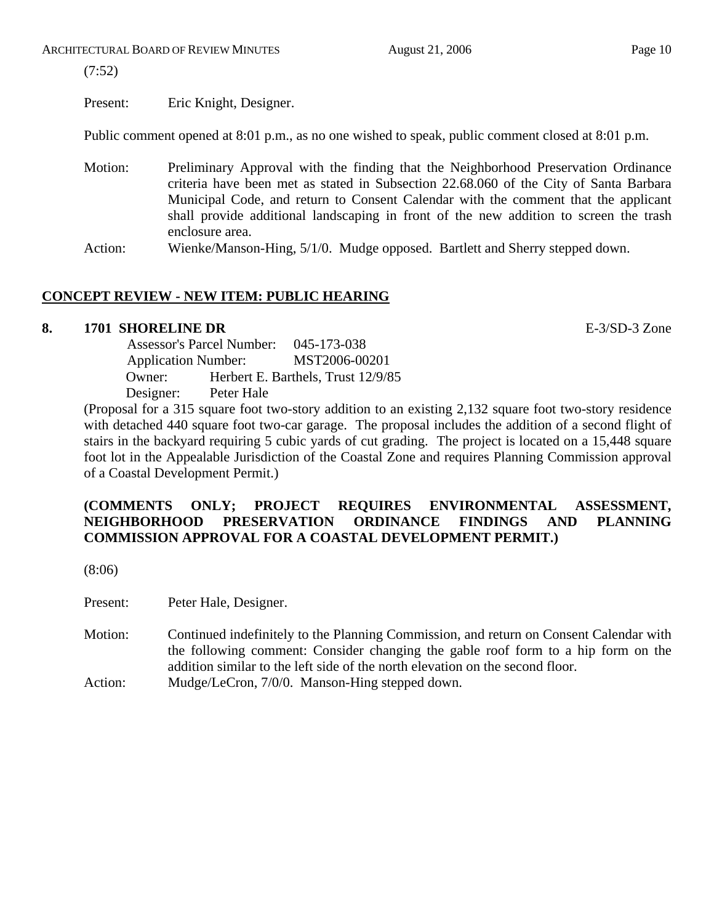(7:52)

Present: Eric Knight, Designer.

Public comment opened at 8:01 p.m., as no one wished to speak, public comment closed at 8:01 p.m.

- Motion: Preliminary Approval with the finding that the Neighborhood Preservation Ordinance criteria have been met as stated in Subsection 22.68.060 of the City of Santa Barbara Municipal Code, and return to Consent Calendar with the comment that the applicant shall provide additional landscaping in front of the new addition to screen the trash enclosure area.
- Action: Wienke/Manson-Hing, 5/1/0. Mudge opposed. Bartlett and Sherry stepped down.

# **CONCEPT REVIEW - NEW ITEM: PUBLIC HEARING**

# **8. 1701 SHORELINE DR** E-3/SD-3 Zone

 Assessor's Parcel Number: 045-173-038 Application Number: MST2006-00201 Owner: Herbert E. Barthels, Trust 12/9/85 Designer: Peter Hale

(Proposal for a 315 square foot two-story addition to an existing 2,132 square foot two-story residence with detached 440 square foot two-car garage. The proposal includes the addition of a second flight of stairs in the backyard requiring 5 cubic yards of cut grading. The project is located on a 15,448 square foot lot in the Appealable Jurisdiction of the Coastal Zone and requires Planning Commission approval of a Coastal Development Permit.)

# **(COMMENTS ONLY; PROJECT REQUIRES ENVIRONMENTAL ASSESSMENT, NEIGHBORHOOD PRESERVATION ORDINANCE FINDINGS AND PLANNING COMMISSION APPROVAL FOR A COASTAL DEVELOPMENT PERMIT.)**

(8:06)

Present: Peter Hale, Designer.

Motion: Continued indefinitely to the Planning Commission, and return on Consent Calendar with the following comment: Consider changing the gable roof form to a hip form on the addition similar to the left side of the north elevation on the second floor. Action: Mudge/LeCron, 7/0/0. Manson-Hing stepped down.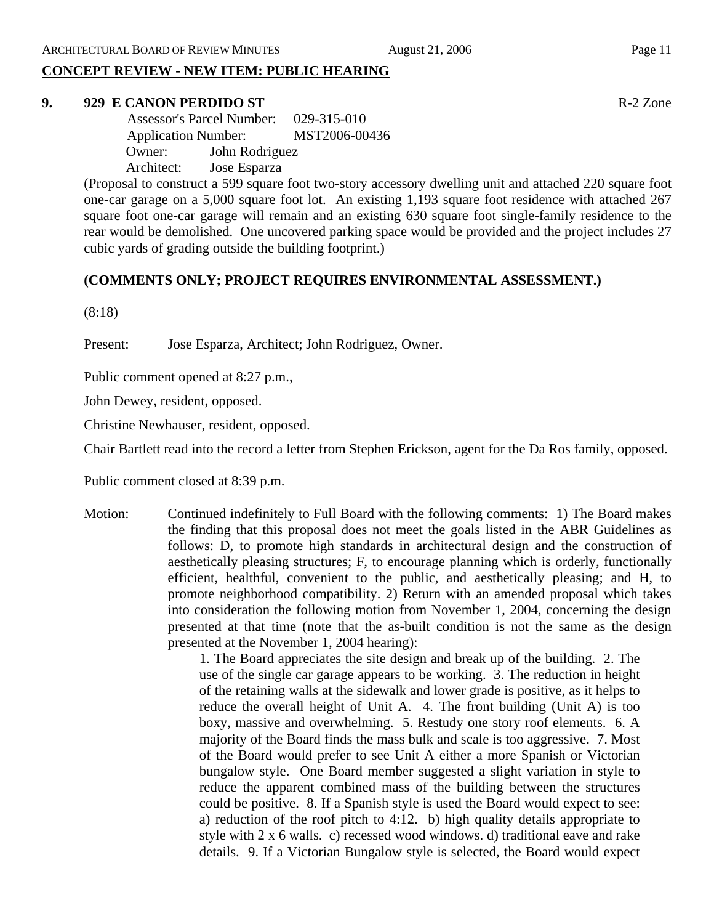# **CONCEPT REVIEW - NEW ITEM: PUBLIC HEARING**

## **9. 929 E CANON PERDIDO ST** R-2 Zone

 Assessor's Parcel Number: 029-315-010 Application Number: MST2006-00436 Owner: John Rodriguez Architect: Jose Esparza

(Proposal to construct a 599 square foot two-story accessory dwelling unit and attached 220 square foot one-car garage on a 5,000 square foot lot. An existing 1,193 square foot residence with attached 267 square foot one-car garage will remain and an existing 630 square foot single-family residence to the rear would be demolished. One uncovered parking space would be provided and the project includes 27 cubic yards of grading outside the building footprint.)

# **(COMMENTS ONLY; PROJECT REQUIRES ENVIRONMENTAL ASSESSMENT.)**

(8:18)

Present: Jose Esparza, Architect; John Rodriguez, Owner.

Public comment opened at 8:27 p.m.,

John Dewey, resident, opposed.

Christine Newhauser, resident, opposed.

Chair Bartlett read into the record a letter from Stephen Erickson, agent for the Da Ros family, opposed.

Public comment closed at 8:39 p.m.

Motion: Continued indefinitely to Full Board with the following comments: 1) The Board makes the finding that this proposal does not meet the goals listed in the ABR Guidelines as follows: D, to promote high standards in architectural design and the construction of aesthetically pleasing structures; F, to encourage planning which is orderly, functionally efficient, healthful, convenient to the public, and aesthetically pleasing; and H, to promote neighborhood compatibility. 2) Return with an amended proposal which takes into consideration the following motion from November 1, 2004, concerning the design presented at that time (note that the as-built condition is not the same as the design presented at the November 1, 2004 hearing):

> 1. The Board appreciates the site design and break up of the building. 2. The use of the single car garage appears to be working. 3. The reduction in height of the retaining walls at the sidewalk and lower grade is positive, as it helps to reduce the overall height of Unit A. 4. The front building (Unit A) is too boxy, massive and overwhelming. 5. Restudy one story roof elements. 6. A majority of the Board finds the mass bulk and scale is too aggressive. 7. Most of the Board would prefer to see Unit A either a more Spanish or Victorian bungalow style. One Board member suggested a slight variation in style to reduce the apparent combined mass of the building between the structures could be positive. 8. If a Spanish style is used the Board would expect to see: a) reduction of the roof pitch to 4:12. b) high quality details appropriate to style with 2 x 6 walls. c) recessed wood windows. d) traditional eave and rake details. 9. If a Victorian Bungalow style is selected, the Board would expect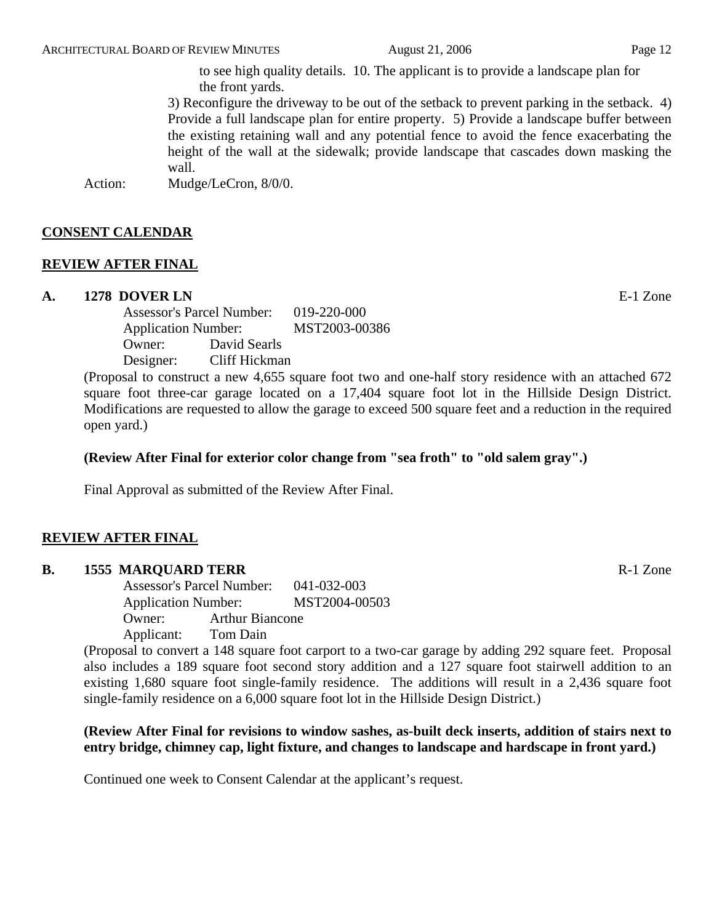to see high quality details. 10. The applicant is to provide a landscape plan for the front yards.

3) Reconfigure the driveway to be out of the setback to prevent parking in the setback. 4) Provide a full landscape plan for entire property. 5) Provide a landscape buffer between the existing retaining wall and any potential fence to avoid the fence exacerbating the height of the wall at the sidewalk; provide landscape that cascades down masking the wall.

Action: Mudge/LeCron,  $8/0/0$ .

# **CONSENT CALENDAR**

### **REVIEW AFTER FINAL**

#### **A. 1278 DOVER LN** E-1 Zone

Assessor's Parcel Number: 019-220-000 Application Number: MST2003-00386 Owner: David Searls Designer: Cliff Hickman

(Proposal to construct a new 4,655 square foot two and one-half story residence with an attached 672 square foot three-car garage located on a 17,404 square foot lot in the Hillside Design District. Modifications are requested to allow the garage to exceed 500 square feet and a reduction in the required open yard.)

#### **(Review After Final for exterior color change from "sea froth" to "old salem gray".)**

Final Approval as submitted of the Review After Final.

## **REVIEW AFTER FINAL**

### **B.** 1555 MARQUARD TERR **Reserve EXAMPLE 2018** R-1 Zone

Assessor's Parcel Number: 041-032-003 Application Number: MST2004-00503 Owner: Arthur Biancone Applicant: Tom Dain

(Proposal to convert a 148 square foot carport to a two-car garage by adding 292 square feet. Proposal also includes a 189 square foot second story addition and a 127 square foot stairwell addition to an existing 1,680 square foot single-family residence. The additions will result in a 2,436 square foot single-family residence on a 6,000 square foot lot in the Hillside Design District.)

# **(Review After Final for revisions to window sashes, as-built deck inserts, addition of stairs next to entry bridge, chimney cap, light fixture, and changes to landscape and hardscape in front yard.)**

Continued one week to Consent Calendar at the applicant's request.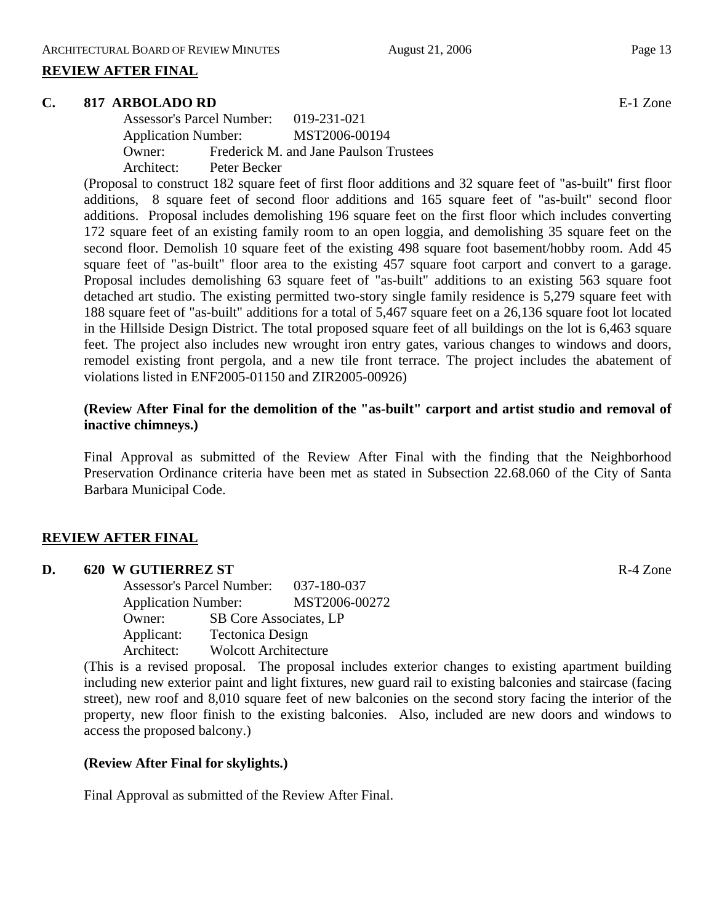### **REVIEW AFTER FINAL**

#### **C. 817 ARBOLADO RD** E-1 Zone

Assessor's Parcel Number: 019-231-021 Application Number: MST2006-00194 Owner: Frederick M. and Jane Paulson Trustees Architect: Peter Becker

(Proposal to construct 182 square feet of first floor additions and 32 square feet of "as-built" first floor additions, 8 square feet of second floor additions and 165 square feet of "as-built" second floor additions. Proposal includes demolishing 196 square feet on the first floor which includes converting 172 square feet of an existing family room to an open loggia, and demolishing 35 square feet on the second floor. Demolish 10 square feet of the existing 498 square foot basement/hobby room. Add 45 square feet of "as-built" floor area to the existing 457 square foot carport and convert to a garage. Proposal includes demolishing 63 square feet of "as-built" additions to an existing 563 square foot detached art studio. The existing permitted two-story single family residence is 5,279 square feet with 188 square feet of "as-built" additions for a total of 5,467 square feet on a 26,136 square foot lot located in the Hillside Design District. The total proposed square feet of all buildings on the lot is 6,463 square feet. The project also includes new wrought iron entry gates, various changes to windows and doors, remodel existing front pergola, and a new tile front terrace. The project includes the abatement of violations listed in ENF2005-01150 and ZIR2005-00926)

## **(Review After Final for the demolition of the "as-built" carport and artist studio and removal of inactive chimneys.)**

 Final Approval as submitted of the Review After Final with the finding that the Neighborhood Preservation Ordinance criteria have been met as stated in Subsection 22.68.060 of the City of Santa Barbara Municipal Code.

#### **REVIEW AFTER FINAL**

#### **D. 620 W GUTIERREZ ST** R-4 Zone

Assessor's Parcel Number: 037-180-037 Application Number: MST2006-00272 Owner: SB Core Associates, LP Applicant: Tectonica Design Architect: Wolcott Architecture

(This is a revised proposal. The proposal includes exterior changes to existing apartment building including new exterior paint and light fixtures, new guard rail to existing balconies and staircase (facing street), new roof and 8,010 square feet of new balconies on the second story facing the interior of the property, new floor finish to the existing balconies. Also, included are new doors and windows to access the proposed balcony.)

#### **(Review After Final for skylights.)**

Final Approval as submitted of the Review After Final.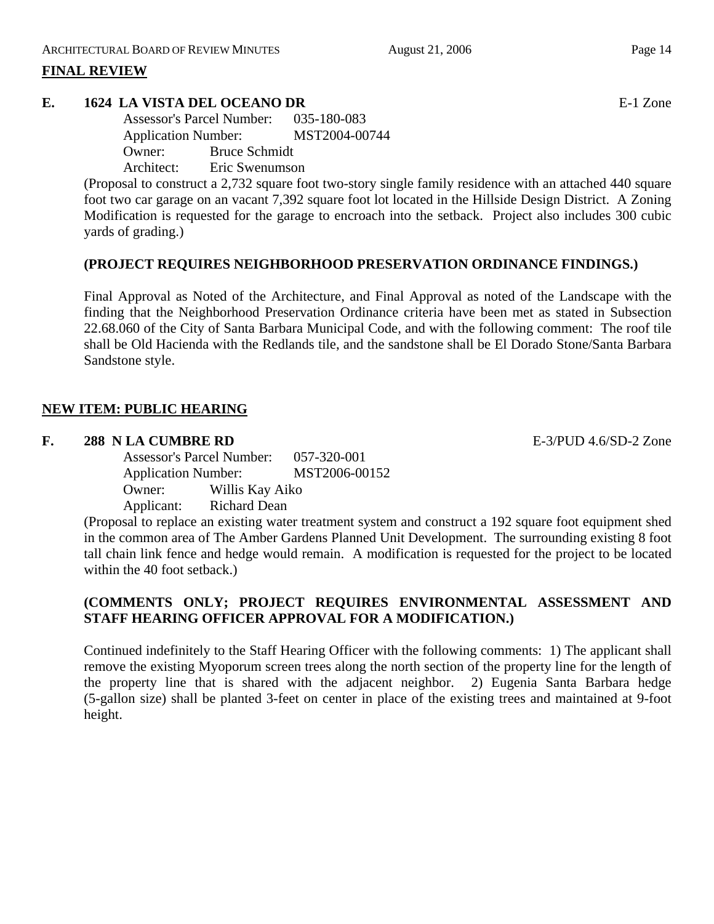# **FINAL REVIEW**

# **E. 1624 LA VISTA DEL OCEANO DR** E-1 Zone

Assessor's Parcel Number: 035-180-083 Application Number: MST2004-00744 Owner: Bruce Schmidt Architect: Eric Swenumson

(Proposal to construct a 2,732 square foot two-story single family residence with an attached 440 square foot two car garage on an vacant 7,392 square foot lot located in the Hillside Design District. A Zoning Modification is requested for the garage to encroach into the setback. Project also includes 300 cubic yards of grading.)

# **(PROJECT REQUIRES NEIGHBORHOOD PRESERVATION ORDINANCE FINDINGS.)**

Final Approval as Noted of the Architecture, and Final Approval as noted of the Landscape with the finding that the Neighborhood Preservation Ordinance criteria have been met as stated in Subsection 22.68.060 of the City of Santa Barbara Municipal Code, and with the following comment: The roof tile shall be Old Hacienda with the Redlands tile, and the sandstone shall be El Dorado Stone/Santa Barbara Sandstone style.

# **NEW ITEM: PUBLIC HEARING**

### **F. 288 N LA CUMBRE RD** E-3/PUD 4.6/SD-2 Zone

Assessor's Parcel Number: 057-320-001 Application Number: MST2006-00152 Owner: Willis Kay Aiko Applicant: Richard Dean

(Proposal to replace an existing water treatment system and construct a 192 square foot equipment shed in the common area of The Amber Gardens Planned Unit Development. The surrounding existing 8 foot tall chain link fence and hedge would remain. A modification is requested for the project to be located within the 40 foot setback.)

# **(COMMENTS ONLY; PROJECT REQUIRES ENVIRONMENTAL ASSESSMENT AND STAFF HEARING OFFICER APPROVAL FOR A MODIFICATION.)**

Continued indefinitely to the Staff Hearing Officer with the following comments: 1) The applicant shall remove the existing Myoporum screen trees along the north section of the property line for the length of the property line that is shared with the adjacent neighbor. 2) Eugenia Santa Barbara hedge (5-gallon size) shall be planted 3-feet on center in place of the existing trees and maintained at 9-foot height.